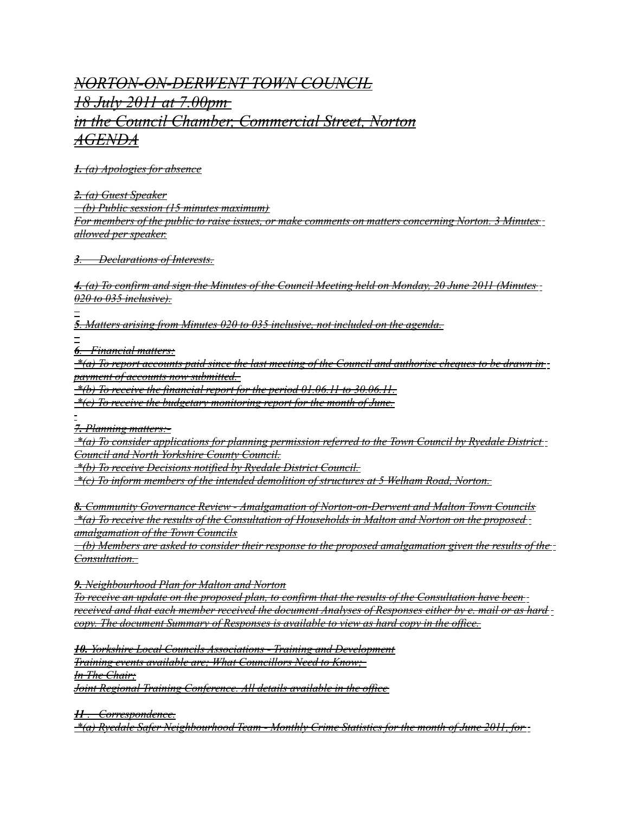## *NORTON-ON-DERWENT TOWN COUNCIL 18 July 2011 at 7.00pm in the Council Chamber, Commercial Street, Norton AGENDA*

 *1. (a) Apologies for absence*

 *2. (a) Guest Speaker*

 *(b) Public session (15 minutes maximum)*

*For members of the public to raise issues, or make comments on matters concerning Norton. 3 Minutes allowed per speaker.*

 *3 . Declarations of Interests.*

 *4. (a) To confirm and sign the Minutes of the Council Meeting held on Monday, 20 June 2011 (Minutes 020 to 035 inclusive).*

 *5 . Matters arising from Minutes 020 to 035 inclusive, not included on the agenda.*

 *6 . Financial matters:*

 *\*(a) To report accounts paid since the last meeting of the Council and authorise cheques to be drawn in payment of accounts now submitted.* 

 *\*(b) To receive the financial report for the period 01.06.11 to 30.06.11.*

 *\*(c) To receive the budgetary monitoring report for the month of June.*

 *7. Planning matters:-*

 *\*(a) To consider applications for planning permission referred to the Town Council by Ryedale District Council and North Yorkshire County Council.*

 *\*(b) To receive Decisions notified by Ryedale District Council.*

 *\*(c) To inform members of the intended demolition of structures at 5 Welham Road, Norton.*

 *8. Community Governance Review - Amalgamation of Norton-on-Derwent and Malton Town Councils \*(a) To receive the results of the Consultation of Households in Malton and Norton on the proposed amalgamation of the Town Councils*

 *(b) Members are asked to consider their response to the proposed amalgamation given the results of the Consultation.* 

 *9. Neighbourhood Plan for Malton and Norton*

*To receive an update on the proposed plan, to confirm that the results of the Consultation have been received and that each member received the document Analyses of Responses either by e. mail or as hard copy. The document Summary of Responses is available to view as hard copy in the office.*

 *10. Yorkshire Local Councils Associations - Training and Development Training events available are; What Councillors Need to Know; In The Chair; Joint Regional Training Conference. All details available in the office*

 *11 . Correspondence.*

 *\*(a) Ryedale Safer Neighbourhood Team - Monthly Crime Statistics for the month of June 2011, for*